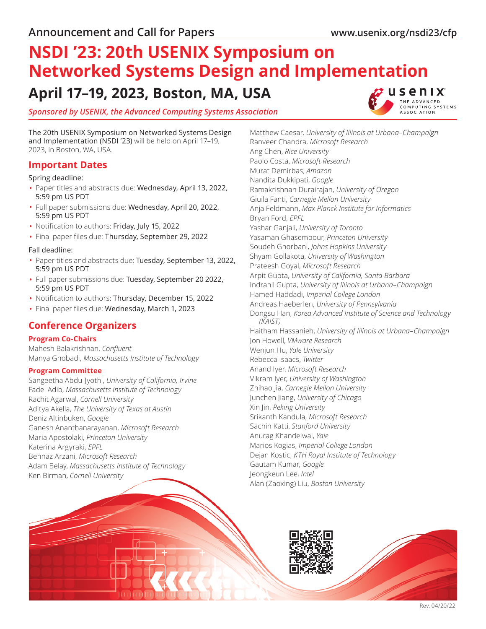THE ADVANCED OMPUTING SYSTEMS **ASSOCIATION** 

# **NSDI '23: 20th USENIX Symposium on Networked Systems Design and Implementation April 17–19, 2023, Boston, MA, USA tusenix**

## *Sponsored by [USENIX](https://www.usenix.org/), the Advanced Computing Systems Association*

The 20th USENIX Symposium on Networked Systems Design and Implementation (NSDI '23) will be held on April 17–19, 2023, in Boston, WA, USA.

## **Important Dates**

Spring deadline:

- Paper titles and abstracts due: Wednesday, April 13, 2022, 5:59 pm US PDT
- Full paper submissions due: Wednesday, April 20, 2022, 5:59 pm US PDT
- Notification to authors: Friday, July 15, 2022
- Final paper files due: Thursday, September 29, 2022

#### Fall deadline:

- Paper titles and abstracts due: Tuesday, September 13, 2022, 5:59 pm US PDT
- Full paper submissions due: Tuesday, September 20 2022, 5:59 pm US PDT
- Notification to authors: Thursday, December 15, 2022
- Final paper files due: Wednesday, March 1, 2023

# **Conference Organizers**

### **Program Co-Chairs**

Mahesh Balakrishnan, *Confluent* Manya Ghobadi, *Massachusetts Institute of Technology*

### **Program Committee**

Sangeetha Abdu-Jyothi, *University of California, Irvine* Fadel Adib, *Massachusetts Institute of Technology* Rachit Agarwal, *Cornell University* Aditya Akella, *The University of Texas at Austin* Deniz Altinbuken, *Google* Ganesh Ananthanarayanan, *Microsoft Research* Maria Apostolaki, *Princeton University* Katerina Argyraki, *EPFL* Behnaz Arzani, *Microsoft Research* Adam Belay, *Massachusetts Institute of Technology* Ken Birman, *Cornell University*

Matthew Caesar, *University of Illinois at Urbana–Champaign* Ranveer Chandra, *Microsoft Research* Ang Chen, *Rice University* Paolo Costa, *Microsoft Research* Murat Demirbas, *Amazon* Nandita Dukkipati, *Google* Ramakrishnan Durairajan, *University of Oregon* Giuila Fanti, *Carnegie Mellon University* Anja Feldmann, *Max Planck Institute for Informatics* Bryan Ford, *EPFL* Yashar Ganjali, *University of Toronto* Yasaman Ghasempour, *Princeton University* Soudeh Ghorbani, *Johns Hopkins University* Shyam Gollakota, *University of Washington* Prateesh Goyal, *Microsoft Research* Arpit Gupta, *University of California, Santa Barbara* Indranil Gupta, *University of Illinois at Urbana–Champaign* Hamed Haddadi, *Imperial College London* Andreas Haeberlen, *University of Pennsylvania* Dongsu Han, *Korea Advanced Institute of Science and Technology (KAIST)* Haitham Hassanieh, *University of Illinois at Urbana–Champaign* Jon Howell, *VMware Research* Wenjun Hu, *Yale University* Rebecca Isaacs, *Twitter* Anand Iyer, *Microsoft Research* Vikram Iyer, *University of Washington* Zhihao Jia, *Carnegie Mellon University* Junchen Jiang, *University of Chicago* Xin Jin, *Peking University* Srikanth Kandula, *Microsoft Research* Sachin Katti, *Stanford University* Anurag Khandelwal, *Yale* Marios Kogias, *Imperial College London* Dejan Kostic, *KTH Royal Institute of Technology* Gautam Kumar, *Google* Jeongkeun Lee, *Intel* Alan (Zaoxing) Liu, *Boston University*

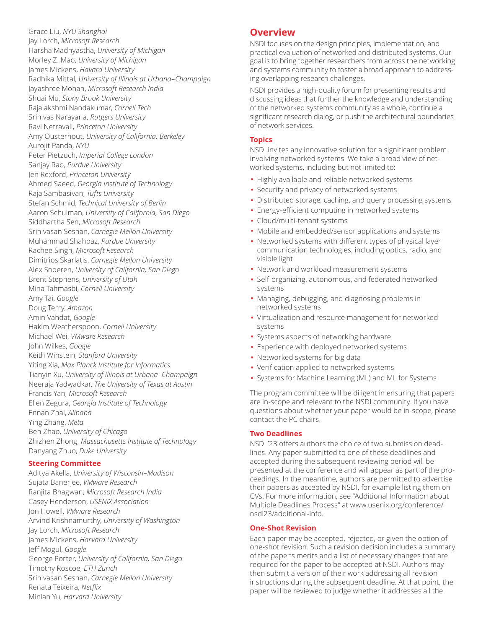Grace Liu, *NYU Shanghai* Jay Lorch, *Microsoft Research* Harsha Madhyastha, *University of Michigan* Morley Z. Mao, *University of Michigan* James Mickens, *Havard University* Radhika Mittal, *University of Illinois at Urbana–Champaign* Jayashree Mohan, *Microsoft Research India* Shuai Mu, *Stony Brook University* Rajalakshmi Nandakumar, *Cornell Tech* Srinivas Narayana, *Rutgers University* Ravi Netravali, *Princeton University* Amy Ousterhout, *University of California, Berkeley* Aurojit Panda, *NYU* Peter Pietzuch, *Imperial College London* Sanjay Rao, *Purdue University* Jen Rexford, *Princeton University* Ahmed Saeed, *Georgia Institute of Technology* Raja Sambasivan, *Tufts University* Stefan Schmid, *Technical University of Berlin* Aaron Schulman, *University of California, San Diego* Siddhartha Sen, *Microsoft Research* Srinivasan Seshan, *Carnegie Mellon University* Muhammad Shahbaz, *Purdue University* Rachee Singh, *Microsoft Research* Dimitrios Skarlatis, *Carnegie Mellon University* Alex Snoeren, *University of California, San Diego* Brent Stephens, *University of Utah* Mina Tahmasbi, *Cornell University* Amy Tai, *Google* Doug Terry, *Amazon* Amin Vahdat, *Google* Hakim Weatherspoon, *Cornell University* Michael Wei, *VMware Research* John Wilkes, *Google* Keith Winstein, *Stanford University* Yiting Xia, *Max Planck Institute for Informatics* Tianyin Xu, *University of Illinois at Urbana–Champaign* Neeraja Yadwadkar, *The University of Texas at Austin* Francis Yan, *Microsoft Research* Ellen Zegura, *Georgia Institute of Technology* Ennan Zhai, *Alibaba* Ying Zhang, *Meta* Ben Zhao, *University of Chicago* Zhizhen Zhong, *Massachusetts Institute of Technology* Danyang Zhuo, *Duke University*

### **Steering Committee**

Aditya Akella, *University of Wisconsin–Madison* Sujata Banerjee, *VMware Research* Ranjita Bhagwan, *Microsoft Research India* Casey Henderson, *USENIX Association* Jon Howell, *VMware Research* Arvind Krishnamurthy, *University of Washington* Jay Lorch, *Microsoft Research* James Mickens, *Harvard University* Jeff Mogul, *Google* George Porter, *University of California, San Diego* Timothy Roscoe, *ETH Zurich* Srinivasan Seshan, *Carnegie Mellon University* Renata Teixeira, *Netflix* Minlan Yu, *Harvard University*

# **Overview**

NSDI focuses on the design principles, implementation, and practical evaluation of networked and distributed systems. Our goal is to bring together researchers from across the networking and systems community to foster a broad approach to addressing overlapping research challenges.

NSDI provides a high-quality forum for presenting results and discussing ideas that further the knowledge and understanding of the networked systems community as a whole, continue a significant research dialog, or push the architectural boundaries of network services.

## **Topics**

NSDI invites any innovative solution for a significant problem involving networked systems. We take a broad view of networked systems, including but not limited to:

- Highly available and reliable networked systems
- Security and privacy of networked systems
- Distributed storage, caching, and query processing systems
- Energy-efficient computing in networked systems
- Cloud/multi-tenant systems
- Mobile and embedded/sensor applications and systems
- Networked systems with different types of physical layer communication technologies, including optics, radio, and visible light
- Network and workload measurement systems
- Self-organizing, autonomous, and federated networked systems
- Managing, debugging, and diagnosing problems in networked systems
- Virtualization and resource management for networked systems
- Systems aspects of networking hardware
- Experience with deployed networked systems
- Networked systems for big data
- Verification applied to networked systems
- Systems for Machine Learning (ML) and ML for Systems

The program committee will be diligent in ensuring that papers are in-scope and relevant to the NSDI community. If you have questions about whether your paper would be in-scope, please contact the PC chairs.

### **Two Deadlines**

NSDI '23 offers authors the choice of two submission deadlines. Any paper submitted to one of these deadlines and accepted during the subsequent reviewing period will be presented at the conference and will appear as part of the proceedings. In the meantime, authors are permitted to advertise their papers as accepted by NSDI, for example listing them on CVs. For more information, see "Additional Information about Multiple Deadlines Process" at www.usenix.org/conference/ nsdi23/additional-info.

### **One-Shot Revision**

Each paper may be accepted, rejected, or given the option of one-shot revision. Such a revision decision includes a summary of the paper's merits and a list of necessary changes that are required for the paper to be accepted at NSDI. Authors may then submit a version of their work addressing all revision instructions during the subsequent deadline. At that point, the paper will be reviewed to judge whether it addresses all the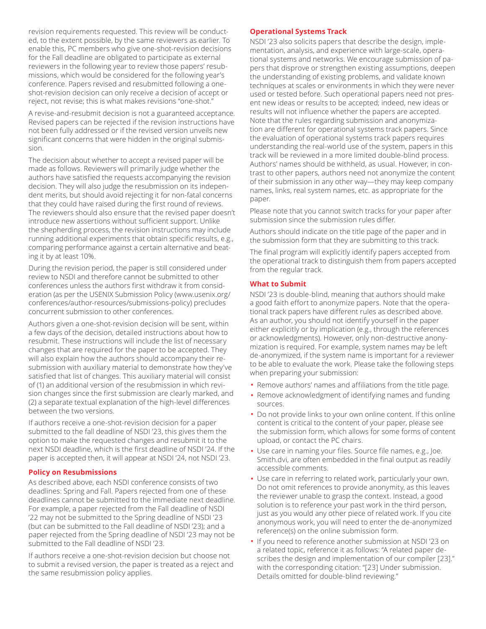revision requirements requested. This review will be conducted, to the extent possible, by the same reviewers as earlier. To enable this, PC members who give one-shot-revision decisions for the Fall deadline are obligated to participate as external reviewers in the following year to review those papers' resubmissions, which would be considered for the following year's conference. Papers revised and resubmitted following a oneshot-revision decision can only receive a decision of accept or reject, not revise; this is what makes revisions "one-shot."

A revise-and-resubmit decision is not a guaranteed acceptance. Revised papers can be rejected if the revision instructions have not been fully addressed or if the revised version unveils new significant concerns that were hidden in the original submission.

The decision about whether to accept a revised paper will be made as follows. Reviewers will primarily judge whether the authors have satisfied the requests accompanying the revision decision. They will also judge the resubmission on its independent merits, but should avoid rejecting it for non-fatal concerns that they could have raised during the first round of reviews. The reviewers should also ensure that the revised paper doesn't introduce new assertions without sufficient support. Unlike the shepherding process, the revision instructions may include running additional experiments that obtain specific results, e.g., comparing performance against a certain alternative and beating it by at least 10%.

During the revision period, the paper is still considered under review to NSDI and therefore cannot be submitted to other conferences unless the authors first withdraw it from consideration (as per the USENIX Submission Policy (www.usenix.org/ conferences/author-resources/submissions-policy) precludes concurrent submission to other conferences.

Authors given a one-shot-revision decision will be sent, within a few days of the decision, detailed instructions about how to resubmit. These instructions will include the list of necessary changes that are required for the paper to be accepted. They will also explain how the authors should accompany their resubmission with auxiliary material to demonstrate how they've satisfied that list of changes. This auxiliary material will consist of (1) an additional version of the resubmission in which revision changes since the first submission are clearly marked, and (2) a separate textual explanation of the high-level differences between the two versions.

If authors receive a one-shot-revision decision for a paper submitted to the fall deadline of NSDI '23, this gives them the option to make the requested changes and resubmit it to the next NSDI deadline, which is the first deadline of NSDI '24. If the paper is accepted then, it will appear at NSDI '24, not NSDI '23.

### **Policy on Resubmissions**

As described above, each NSDI conference consists of two deadlines: Spring and Fall. Papers rejected from one of these deadlines cannot be submitted to the immediate next deadline. For example, a paper rejected from the Fall deadline of NSDI '22 may not be submitted to the Spring deadline of NSDI '23 (but can be submitted to the Fall deadline of NSDI '23); and a paper rejected from the Spring deadline of NSDI '23 may not be submitted to the Fall deadline of NSDI '23.

If authors receive a one-shot-revision decision but choose not to submit a revised version, the paper is treated as a reject and the same resubmission policy applies.

#### **Operational Systems Track**

NSDI '23 also solicits papers that describe the design, implementation, analysis, and experience with large-scale, operational systems and networks. We encourage submission of papers that disprove or strengthen existing assumptions, deepen the understanding of existing problems, and validate known techniques at scales or environments in which they were never used or tested before. Such operational papers need not present new ideas or results to be accepted; indeed, new ideas or results will not influence whether the papers are accepted. Note that the rules regarding submission and anonymization are different for operational systems track papers. Since the evaluation of operational systems track papers requires understanding the real-world use of the system, papers in this track will be reviewed in a more limited double-blind process. Authors' names should be withheld, as usual. However, in contrast to other papers, authors need not anonymize the content of their submission in any other way—they may keep company names, links, real system names, etc. as appropriate for the paper.

Please note that you cannot switch tracks for your paper after submission since the submission rules differ.

Authors should indicate on the title page of the paper and in the submission form that they are submitting to this track.

The final program will explicitly identify papers accepted from the operational track to distinguish them from papers accepted from the regular track.

### **What to Submit**

NSDI '23 is double-blind, meaning that authors should make a good faith effort to anonymize papers. Note that the operational track papers have different rules as described above. As an author, you should not identify yourself in the paper either explicitly or by implication (e.g., through the references or acknowledgments). However, only non-destructive anonymization is required. For example, system names may be left de-anonymized, if the system name is important for a reviewer to be able to evaluate the work. Please take the following steps when preparing your submission:

- Remove authors' names and affiliations from the title page.
- Remove acknowledgment of identifying names and funding sources.
- Do not provide links to your own online content. If this online content is critical to the content of your paper, please see the submission form, which allows for some forms of content upload, or contact the PC chairs.
- Use care in naming your files. Source file names, e.g., Joe. Smith.dvi, are often embedded in the final output as readily accessible comments.
- Use care in referring to related work, particularly your own. Do not omit references to provide anonymity, as this leaves the reviewer unable to grasp the context. Instead, a good solution is to reference your past work in the third person, just as you would any other piece of related work. If you cite anonymous work, you will need to enter the de-anonymized reference(s) on the online submission form.
- If you need to reference another submission at NSDI '23 on a related topic, reference it as follows: "A related paper describes the design and implementation of our compiler [23]." with the corresponding citation: "[23] Under submission. Details omitted for double-blind reviewing."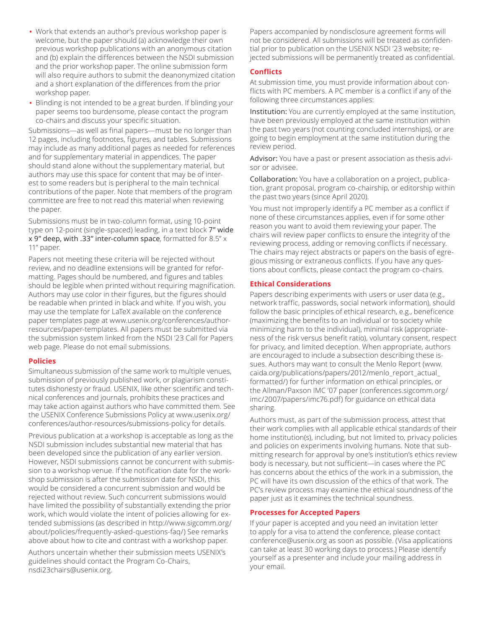- Work that extends an author's previous workshop paper is welcome, but the paper should (a) acknowledge their own previous workshop publications with an anonymous citation and (b) explain the differences between the NSDI submission and the prior workshop paper. The online submission form will also require authors to submit the deanonymized citation and a short explanation of the differences from the prior workshop paper.
- Blinding is not intended to be a great burden. If blinding your paper seems too burdensome, please contact the program co-chairs and discuss your specific situation.

Submissions—as well as final papers—must be no longer than 12 pages, including footnotes, figures, and tables. Submissions may include as many additional pages as needed for references and for supplementary material in appendices. The paper should stand alone without the supplementary material, but authors may use this space for content that may be of interest to some readers but is peripheral to the main technical contributions of the paper. Note that members of the program committee are free to not read this material when reviewing the paper.

Submissions must be in two-column format, using 10-point type on 12-point (single-spaced) leading, in a text block 7" wide x 9" deep, with .33" inter-column space, formatted for 8.5" x 11" paper.

Papers not meeting these criteria will be rejected without review, and no deadline extensions will be granted for reformatting. Pages should be numbered, and figures and tables should be legible when printed without requiring magnification. Authors may use color in their figures, but the figures should be readable when printed in black and white. If you wish, you may use the template for LaTeX available on the conference paper templates page at www.usenix.org/conferences/authorresources/paper-templates. All papers must be submitted via the submission system linked from the NSDI '23 Call for Papers web page. Please do not email submissions.

#### **Policies**

Simultaneous submission of the same work to multiple venues, submission of previously published work, or plagiarism constitutes dishonesty or fraud. USENIX, like other scientific and technical conferences and journals, prohibits these practices and may take action against authors who have committed them. See the USENIX Conference Submissions Policy at www.usenix.org/ conferences/author-resources/submissions-policy for details.

Previous publication at a workshop is acceptable as long as the NSDI submission includes substantial new material that has been developed since the publication of any earlier version. However, NSDI submissions cannot be concurrent with submission to a workshop venue. If the notification date for the workshop submission is after the submission date for NSDI, this would be considered a concurrent submission and would be rejected without review. Such concurrent submissions would have limited the possibility of substantially extending the prior work, which would violate the intent of policies allowing for extended submissions (as described in http://www.sigcomm.org/ about/policies/frequently-asked-questions-faq/) See remarks above about how to cite and contrast with a workshop paper.

Authors uncertain whether their submission meets USENIX's guidelines should contact the Program Co-Chairs, nsdi23chairs@usenix.org.

Papers accompanied by nondisclosure agreement forms will not be considered. All submissions will be treated as confidential prior to publication on the USENIX NSDI '23 website; rejected submissions will be permanently treated as confidential.

## **Conflicts**

At submission time, you must provide information about conflicts with PC members. A PC member is a conflict if any of the following three circumstances applies:

Institution: You are currently employed at the same institution, have been previously employed at the same institution within the past two years (not counting concluded internships), or are going to begin employment at the same institution during the review period.

Advisor: You have a past or present association as thesis advisor or advisee.

Collaboration: You have a collaboration on a project, publication, grant proposal, program co-chairship, or editorship within the past two years (since April 2020).

You must not improperly identify a PC member as a conflict if none of these circumstances applies, even if for some other reason you want to avoid them reviewing your paper. The chairs will review paper conflicts to ensure the integrity of the reviewing process, adding or removing conflicts if necessary. The chairs may reject abstracts or papers on the basis of egregious missing or extraneous conflicts. If you have any questions about conflicts, please contact the program co-chairs.

### **Ethical Considerations**

Papers describing experiments with users or user data (e.g., network traffic, passwords, social network information), should follow the basic principles of ethical research, e.g., beneficence (maximizing the benefits to an individual or to society while minimizing harm to the individual), minimal risk (appropriateness of the risk versus benefit ratio), voluntary consent, respect for privacy, and limited deception. When appropriate, authors are encouraged to include a subsection describing these issues. Authors may want to consult the Menlo Report (www. caida.org/publications/papers/2012/menlo\_report\_actual\_ formatted/) for further information on ethical principles, or the Allman/Paxson IMC '07 paper (conferences.sigcomm.org/ imc/2007/papers/imc76.pdf) for guidance on ethical data sharing.

Authors must, as part of the submission process, attest that their work complies with all applicable ethical standards of their home institution(s), including, but not limited to, privacy policies and policies on experiments involving humans. Note that submitting research for approval by one's institution's ethics review body is necessary, but not sufficient—in cases where the PC has concerns about the ethics of the work in a submission, the PC will have its own discussion of the ethics of that work. The PC's review process may examine the ethical soundness of the paper just as it examines the technical soundness.

### **Processes for Accepted Papers**

If your paper is accepted and you need an invitation letter to apply for a visa to attend the conference, please contact conference@usenix.org as soon as possible. (Visa applications can take at least 30 working days to process.) Please identify yourself as a presenter and include your mailing address in your email.